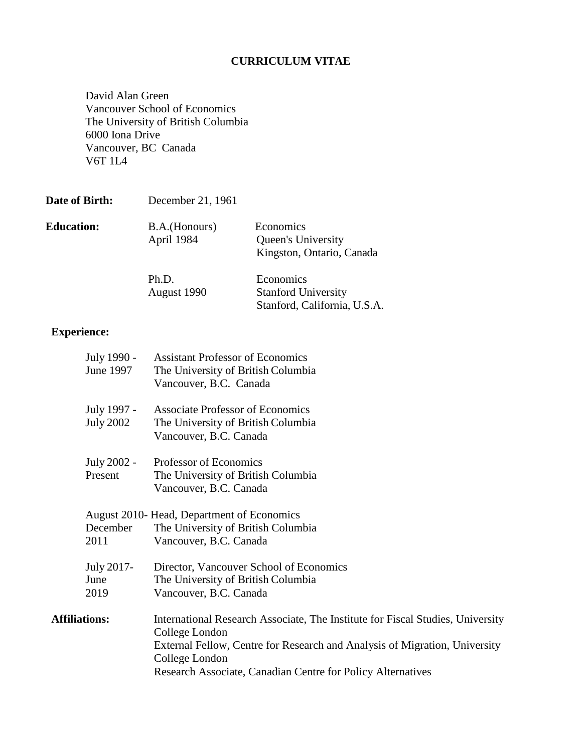## **CURRICULUM VITAE**

David Alan Green Vancouver School of Economics The University of British Columbia 6000 Iona Drive Vancouver, BC Canada V6T 1L4

| Date of Birth:    | December 21, 1961            |                                                                         |
|-------------------|------------------------------|-------------------------------------------------------------------------|
| <b>Education:</b> | B.A. (Honours)<br>April 1984 | Economics<br><b>Queen's University</b><br>Kingston, Ontario, Canada     |
|                   | Ph.D.<br>August 1990         | Economics<br><b>Stanford University</b><br>Stanford, California, U.S.A. |

## **Experience:**

|                      | July 1990 -<br>June 1997        | <b>Assistant Professor of Economics</b><br>The University of British Columbia<br>Vancouver, B.C. Canada                                                                                                                                                         |
|----------------------|---------------------------------|-----------------------------------------------------------------------------------------------------------------------------------------------------------------------------------------------------------------------------------------------------------------|
|                      | July 1997 -<br><b>July 2002</b> | <b>Associate Professor of Economics</b><br>The University of British Columbia<br>Vancouver, B.C. Canada                                                                                                                                                         |
|                      | July 2002 -<br>Present          | Professor of Economics<br>The University of British Columbia<br>Vancouver, B.C. Canada                                                                                                                                                                          |
|                      | December<br>2011                | August 2010- Head, Department of Economics<br>The University of British Columbia<br>Vancouver, B.C. Canada                                                                                                                                                      |
|                      | July 2017-<br>June<br>2019      | Director, Vancouver School of Economics<br>The University of British Columbia<br>Vancouver, B.C. Canada                                                                                                                                                         |
| <b>Affiliations:</b> |                                 | International Research Associate, The Institute for Fiscal Studies, University<br>College London<br>External Fellow, Centre for Research and Analysis of Migration, University<br>College London<br>Research Associate, Canadian Centre for Policy Alternatives |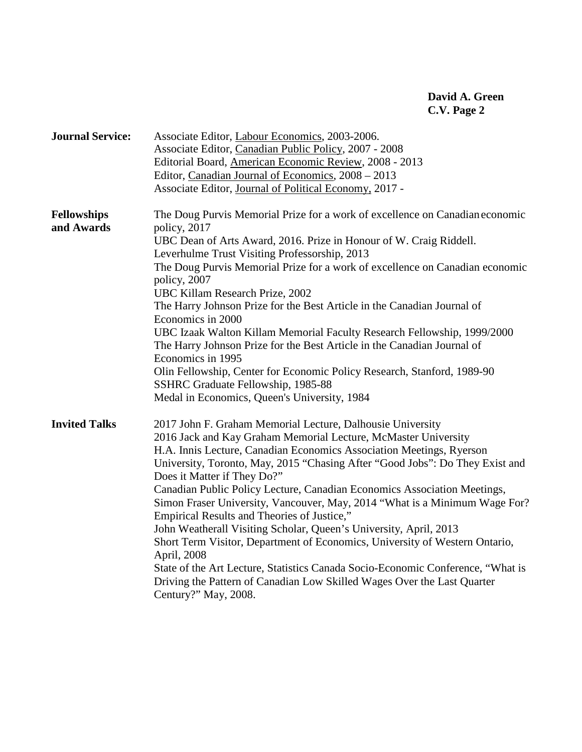| <b>Journal Service:</b>          | Associate Editor, Labour Economics, 2003-2006.<br>Associate Editor, Canadian Public Policy, 2007 - 2008<br>Editorial Board, American Economic Review, 2008 - 2013<br>Editor, Canadian Journal of Economics, 2008 – 2013<br>Associate Editor, Journal of Political Economy, 2017 -                                                                                                                                                                                                                                                                                                                                                                                                                                                                                                                                                                                                     |
|----------------------------------|---------------------------------------------------------------------------------------------------------------------------------------------------------------------------------------------------------------------------------------------------------------------------------------------------------------------------------------------------------------------------------------------------------------------------------------------------------------------------------------------------------------------------------------------------------------------------------------------------------------------------------------------------------------------------------------------------------------------------------------------------------------------------------------------------------------------------------------------------------------------------------------|
| <b>Fellowships</b><br>and Awards | The Doug Purvis Memorial Prize for a work of excellence on Canadian economic<br>policy, 2017<br>UBC Dean of Arts Award, 2016. Prize in Honour of W. Craig Riddell.<br>Leverhulme Trust Visiting Professorship, 2013<br>The Doug Purvis Memorial Prize for a work of excellence on Canadian economic<br>policy, 2007<br>UBC Killam Research Prize, 2002<br>The Harry Johnson Prize for the Best Article in the Canadian Journal of<br>Economics in 2000<br>UBC Izaak Walton Killam Memorial Faculty Research Fellowship, 1999/2000<br>The Harry Johnson Prize for the Best Article in the Canadian Journal of<br>Economics in 1995<br>Olin Fellowship, Center for Economic Policy Research, Stanford, 1989-90<br>SSHRC Graduate Fellowship, 1985-88<br>Medal in Economics, Queen's University, 1984                                                                                    |
| <b>Invited Talks</b>             | 2017 John F. Graham Memorial Lecture, Dalhousie University<br>2016 Jack and Kay Graham Memorial Lecture, McMaster University<br>H.A. Innis Lecture, Canadian Economics Association Meetings, Ryerson<br>University, Toronto, May, 2015 "Chasing After "Good Jobs": Do They Exist and<br>Does it Matter if They Do?"<br>Canadian Public Policy Lecture, Canadian Economics Association Meetings,<br>Simon Fraser University, Vancouver, May, 2014 "What is a Minimum Wage For?<br>Empirical Results and Theories of Justice,"<br>John Weatherall Visiting Scholar, Queen's University, April, 2013<br>Short Term Visitor, Department of Economics, University of Western Ontario,<br>April, 2008<br>State of the Art Lecture, Statistics Canada Socio-Economic Conference, "What is<br>Driving the Pattern of Canadian Low Skilled Wages Over the Last Quarter<br>Century?" May, 2008. |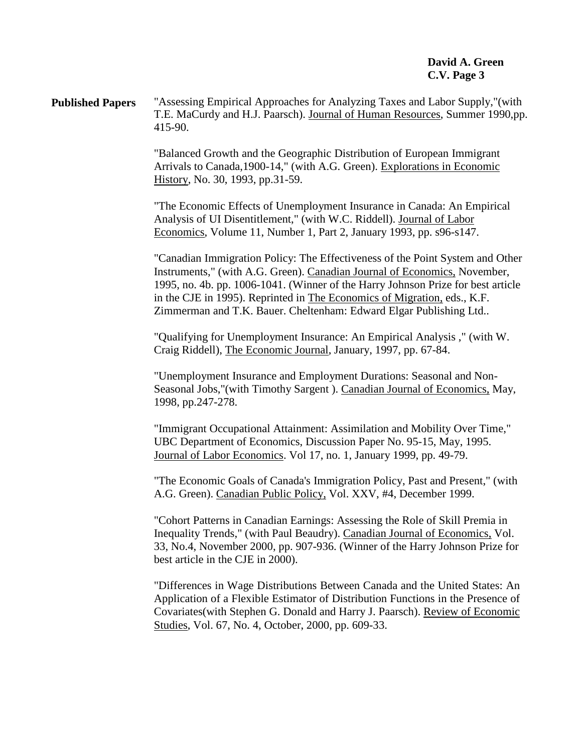## **David A. Green C.V. Page 3**

**Published Papers** "Assessing Empirical Approaches for Analyzing Taxes and Labor Supply,"(with T.E. MaCurdy and H.J. Paarsch). Journal of Human Resources, Summer 1990,pp. 415-90.

> "Balanced Growth and the Geographic Distribution of European Immigrant Arrivals to Canada,1900-14," (with A.G. Green). Explorations in Economic History, No. 30, 1993, pp.31-59.

"The Economic Effects of Unemployment Insurance in Canada: An Empirical Analysis of UI Disentitlement," (with W.C. Riddell). Journal of Labor Economics, Volume 11, Number 1, Part 2, January 1993, pp. s96-s147.

"Canadian Immigration Policy: The Effectiveness of the Point System and Other Instruments," (with A.G. Green). Canadian Journal of Economics, November, 1995, no. 4b. pp. 1006-1041. (Winner of the Harry Johnson Prize for best article in the CJE in 1995). Reprinted in The Economics of Migration, eds., K.F. Zimmerman and T.K. Bauer. Cheltenham: Edward Elgar Publishing Ltd..

"Qualifying for Unemployment Insurance: An Empirical Analysis ," (with W. Craig Riddell), The Economic Journal, January, 1997, pp. 67-84.

"Unemployment Insurance and Employment Durations: Seasonal and Non-Seasonal Jobs,"(with Timothy Sargent ). Canadian Journal of Economics, May, 1998, pp.247-278.

"Immigrant Occupational Attainment: Assimilation and Mobility Over Time," UBC Department of Economics, Discussion Paper No. 95-15, May, 1995. Journal of Labor Economics. Vol 17, no. 1, January 1999, pp. 49-79.

"The Economic Goals of Canada's Immigration Policy, Past and Present," (with A.G. Green). Canadian Public Policy, Vol. XXV, #4, December 1999.

"Cohort Patterns in Canadian Earnings: Assessing the Role of Skill Premia in Inequality Trends," (with Paul Beaudry). Canadian Journal of Economics, Vol. 33, No.4, November 2000, pp. 907-936. (Winner of the Harry Johnson Prize for best article in the CJE in 2000).

"Differences in Wage Distributions Between Canada and the United States: An Application of a Flexible Estimator of Distribution Functions in the Presence of Covariates(with Stephen G. Donald and Harry J. Paarsch). Review of Economic Studies, Vol. 67, No. 4, October, 2000, pp. 609-33.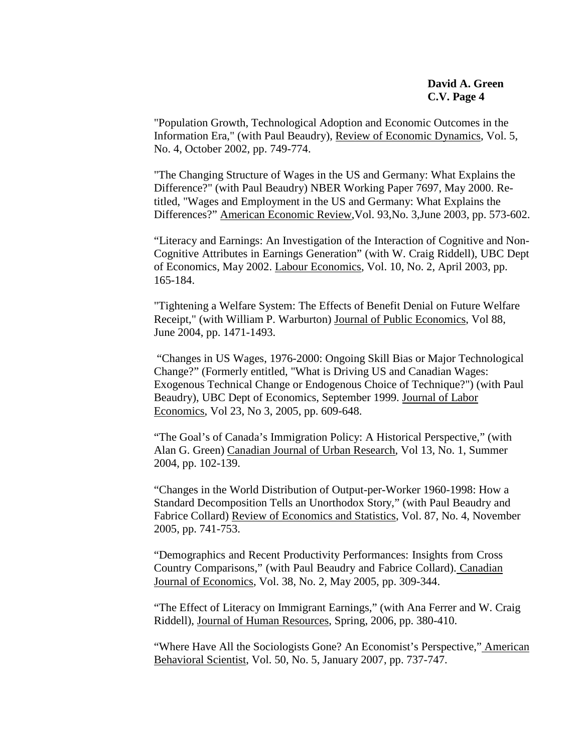"Population Growth, Technological Adoption and Economic Outcomes in the Information Era," (with Paul Beaudry), Review of Economic Dynamics, Vol. 5, No. 4, October 2002, pp. 749-774.

"The Changing Structure of Wages in the US and Germany: What Explains the Difference?" (with Paul Beaudry) NBER Working Paper 7697, May 2000. Retitled, "Wages and Employment in the US and Germany: What Explains the Differences?" American Economic Review,Vol. 93,No. 3,June 2003, pp. 573-602.

"Literacy and Earnings: An Investigation of the Interaction of Cognitive and Non-Cognitive Attributes in Earnings Generation" (with W. Craig Riddell), UBC Dept of Economics, May 2002. Labour Economics, Vol. 10, No. 2, April 2003, pp. 165-184.

"Tightening a Welfare System: The Effects of Benefit Denial on Future Welfare Receipt," (with William P. Warburton) Journal of Public Economics, Vol 88, June 2004, pp. 1471-1493.

"Changes in US Wages, 1976-2000: Ongoing Skill Bias or Major Technological Change?" (Formerly entitled, "What is Driving US and Canadian Wages: Exogenous Technical Change or Endogenous Choice of Technique?") (with Paul Beaudry), UBC Dept of Economics, September 1999. Journal of Labor Economics, Vol 23, No 3, 2005, pp. 609-648.

"The Goal's of Canada's Immigration Policy: A Historical Perspective," (with Alan G. Green) Canadian Journal of Urban Research, Vol 13, No. 1, Summer 2004, pp. 102-139.

"Changes in the World Distribution of Output-per-Worker 1960-1998: How a Standard Decomposition Tells an Unorthodox Story," (with Paul Beaudry and Fabrice Collard) Review of Economics and Statistics, Vol. 87, No. 4, November 2005, pp. 741-753.

"Demographics and Recent Productivity Performances: Insights from Cross Country Comparisons," (with Paul Beaudry and Fabrice Collard). Canadian Journal of Economics, Vol. 38, No. 2, May 2005, pp. 309-344.

"The Effect of Literacy on Immigrant Earnings," (with Ana Ferrer and W. Craig Riddell), Journal of Human Resources, Spring, 2006, pp. 380-410.

"Where Have All the Sociologists Gone? An Economist's Perspective," American Behavioral Scientist, Vol. 50, No. 5, January 2007, pp. 737-747.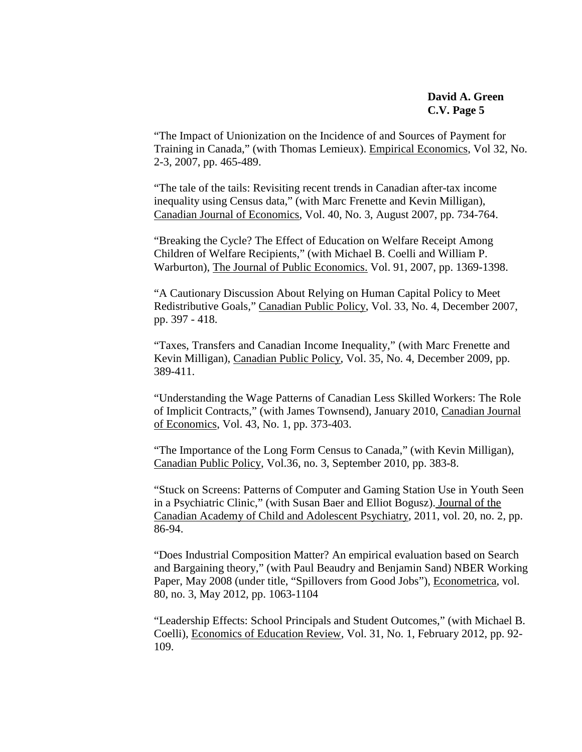"The Impact of Unionization on the Incidence of and Sources of Payment for Training in Canada," (with Thomas Lemieux). Empirical Economics, Vol 32, No. 2-3, 2007, pp. 465-489.

"The tale of the tails: Revisiting recent trends in Canadian after-tax income inequality using Census data," (with Marc Frenette and Kevin Milligan), Canadian Journal of Economics, Vol. 40, No. 3, August 2007, pp. 734-764.

"Breaking the Cycle? The Effect of Education on Welfare Receipt Among Children of Welfare Recipients," (with Michael B. Coelli and William P. Warburton), The Journal of Public Economics. Vol. 91, 2007, pp. 1369-1398.

"A Cautionary Discussion About Relying on Human Capital Policy to Meet Redistributive Goals," Canadian Public Policy, Vol. 33, No. 4, December 2007, pp. 397 - 418.

"Taxes, Transfers and Canadian Income Inequality," (with Marc Frenette and Kevin Milligan), Canadian Public Policy, Vol. 35, No. 4, December 2009, pp. 389-411.

"Understanding the Wage Patterns of Canadian Less Skilled Workers: The Role of Implicit Contracts," (with James Townsend), January 2010, Canadian Journal of Economics, Vol. 43, No. 1, pp. 373-403.

"The Importance of the Long Form Census to Canada," (with Kevin Milligan), Canadian Public Policy, Vol.36, no. 3, September 2010, pp. 383-8.

"Stuck on Screens: Patterns of Computer and Gaming Station Use in Youth Seen in a Psychiatric Clinic," (with Susan Baer and Elliot Bogusz). Journal of the Canadian Academy of Child and Adolescent Psychiatry, 2011, vol. 20, no. 2, pp. 86-94.

"Does Industrial Composition Matter? An empirical evaluation based on Search and Bargaining theory," (with Paul Beaudry and Benjamin Sand) NBER Working Paper, May 2008 (under title, "Spillovers from Good Jobs"), Econometrica, vol. 80, no. 3, May 2012, pp. 1063-1104

"Leadership Effects: School Principals and Student Outcomes," (with Michael B. Coelli), Economics of Education Review, Vol. 31, No. 1, February 2012, pp. 92- 109.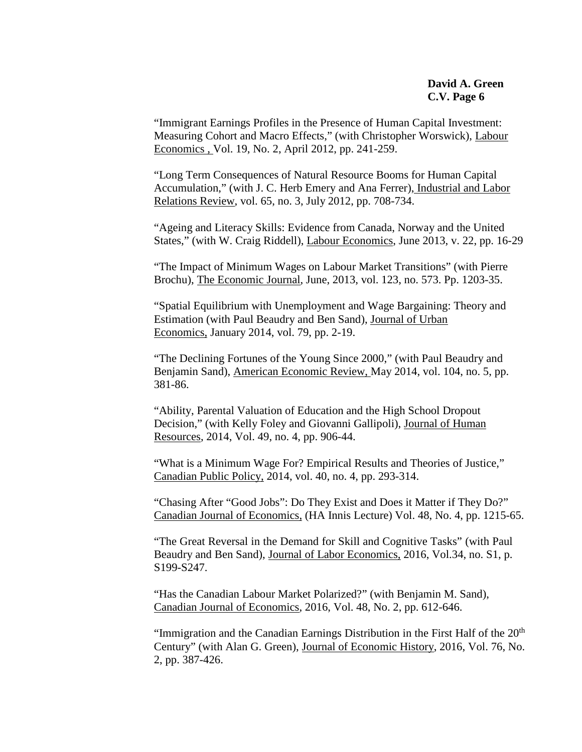"Immigrant Earnings Profiles in the Presence of Human Capital Investment: Measuring Cohort and Macro Effects," (with Christopher Worswick), Labour Economics , Vol. 19, No. 2, April 2012, pp. 241-259.

"Long Term Consequences of Natural Resource Booms for Human Capital Accumulation," (with J. C. Herb Emery and Ana Ferrer), Industrial and Labor Relations Review, vol. 65, no. 3, July 2012, pp. 708-734.

"Ageing and Literacy Skills: Evidence from Canada, Norway and the United States," (with W. Craig Riddell), Labour Economics, June 2013, v. 22, pp. 16-29

"The Impact of Minimum Wages on Labour Market Transitions" (with Pierre Brochu), The Economic Journal, June, 2013, vol. 123, no. 573. Pp. 1203-35.

"Spatial Equilibrium with Unemployment and Wage Bargaining: Theory and Estimation (with Paul Beaudry and Ben Sand), Journal of Urban Economics, January 2014, vol. 79, pp. 2-19.

"The Declining Fortunes of the Young Since 2000," (with Paul Beaudry and Benjamin Sand), American Economic Review, May 2014, vol. 104, no. 5, pp. 381-86.

"Ability, Parental Valuation of Education and the High School Dropout Decision," (with Kelly Foley and Giovanni Gallipoli), Journal of Human Resources, 2014, Vol. 49, no. 4, pp. 906-44.

"What is a Minimum Wage For? Empirical Results and Theories of Justice," Canadian Public Policy, 2014, vol. 40, no. 4, pp. 293-314.

"Chasing After "Good Jobs": Do They Exist and Does it Matter if They Do?" Canadian Journal of Economics, (HA Innis Lecture) Vol. 48, No. 4, pp. 1215-65.

"The Great Reversal in the Demand for Skill and Cognitive Tasks" (with Paul Beaudry and Ben Sand), Journal of Labor Economics, 2016, Vol.34, no. S1, p. S199-S247.

"Has the Canadian Labour Market Polarized?" (with Benjamin M. Sand), Canadian Journal of Economics, 2016, Vol. 48, No. 2, pp. 612-646.

"Immigration and the Canadian Earnings Distribution in the First Half of the  $20<sup>th</sup>$ Century" (with Alan G. Green), Journal of Economic History, 2016, Vol. 76, No. 2, pp. 387-426.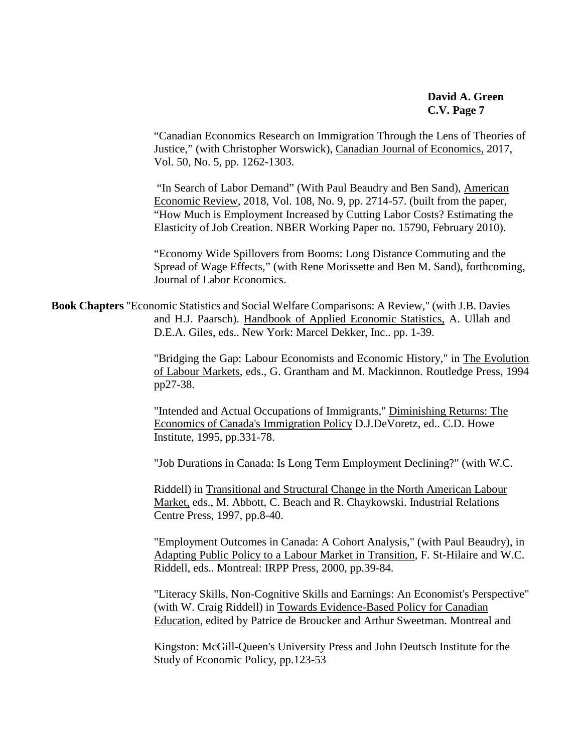"Canadian Economics Research on Immigration Through the Lens of Theories of Justice," (with Christopher Worswick), Canadian Journal of Economics, 2017, Vol. 50, No. 5, pp. 1262-1303.

"In Search of Labor Demand" (With Paul Beaudry and Ben Sand), American Economic Review, 2018, Vol. 108, No. 9, pp. 2714-57. (built from the paper, "How Much is Employment Increased by Cutting Labor Costs? Estimating the Elasticity of Job Creation. NBER Working Paper no. 15790, February 2010).

"Economy Wide Spillovers from Booms: Long Distance Commuting and the Spread of Wage Effects," (with Rene Morissette and Ben M. Sand), forthcoming, Journal of Labor Economics.

**Book Chapters** "Economic Statistics and Social Welfare Comparisons: A Review," (with J.B. Davies and H.J. Paarsch). Handbook of Applied Economic Statistics, A. Ullah and D.E.A. Giles, eds.. New York: Marcel Dekker, Inc.. pp. 1-39.

> "Bridging the Gap: Labour Economists and Economic History," in The Evolution of Labour Markets, eds., G. Grantham and M. Mackinnon. Routledge Press, 1994 pp27-38.

"Intended and Actual Occupations of Immigrants," Diminishing Returns: The Economics of Canada's Immigration Policy D.J.DeVoretz, ed.. C.D. Howe Institute, 1995, pp.331-78.

"Job Durations in Canada: Is Long Term Employment Declining?" (with W.C.

Riddell) in Transitional and Structural Change in the North American Labour Market, eds., M. Abbott, C. Beach and R. Chaykowski. Industrial Relations Centre Press, 1997, pp.8-40.

"Employment Outcomes in Canada: A Cohort Analysis," (with Paul Beaudry), in Adapting Public Policy to a Labour Market in Transition, F. St-Hilaire and W.C. Riddell, eds.. Montreal: IRPP Press, 2000, pp.39-84.

"Literacy Skills, Non-Cognitive Skills and Earnings: An Economist's Perspective" (with W. Craig Riddell) in Towards Evidence-Based Policy for Canadian Education, edited by Patrice de Broucker and Arthur Sweetman. Montreal and

Kingston: McGill-Queen's University Press and John Deutsch Institute for the Study of Economic Policy, pp.123-53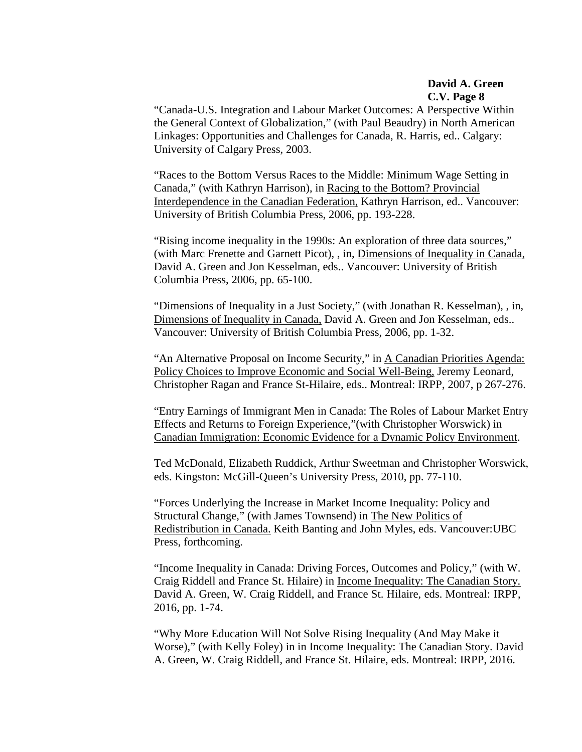"Canada-U.S. Integration and Labour Market Outcomes: A Perspective Within the General Context of Globalization," (with Paul Beaudry) in North American Linkages: Opportunities and Challenges for Canada, R. Harris, ed.. Calgary: University of Calgary Press, 2003.

"Races to the Bottom Versus Races to the Middle: Minimum Wage Setting in Canada," (with Kathryn Harrison), in Racing to the Bottom? Provincial Interdependence in the Canadian Federation, Kathryn Harrison, ed.. Vancouver: University of British Columbia Press, 2006, pp. 193-228.

"Rising income inequality in the 1990s: An exploration of three data sources," (with Marc Frenette and Garnett Picot), , in, Dimensions of Inequality in Canada, David A. Green and Jon Kesselman, eds.. Vancouver: University of British Columbia Press, 2006, pp. 65-100.

"Dimensions of Inequality in a Just Society," (with Jonathan R. Kesselman), , in, Dimensions of Inequality in Canada, David A. Green and Jon Kesselman, eds.. Vancouver: University of British Columbia Press, 2006, pp. 1-32.

"An Alternative Proposal on Income Security," in A Canadian Priorities Agenda: Policy Choices to Improve Economic and Social Well-Being, Jeremy Leonard, Christopher Ragan and France St-Hilaire, eds.. Montreal: IRPP, 2007, p 267-276.

"Entry Earnings of Immigrant Men in Canada: The Roles of Labour Market Entry Effects and Returns to Foreign Experience,"(with Christopher Worswick) in Canadian Immigration: Economic Evidence for a Dynamic Policy Environment.

Ted McDonald, Elizabeth Ruddick, Arthur Sweetman and Christopher Worswick, eds. Kingston: McGill-Queen's University Press, 2010, pp. 77-110.

"Forces Underlying the Increase in Market Income Inequality: Policy and Structural Change," (with James Townsend) in The New Politics of Redistribution in Canada. Keith Banting and John Myles, eds. Vancouver:UBC Press, forthcoming.

"Income Inequality in Canada: Driving Forces, Outcomes and Policy," (with W. Craig Riddell and France St. Hilaire) in Income Inequality: The Canadian Story. David A. Green, W. Craig Riddell, and France St. Hilaire, eds. Montreal: IRPP, 2016, pp. 1-74.

"Why More Education Will Not Solve Rising Inequality (And May Make it Worse)," (with Kelly Foley) in in Income Inequality: The Canadian Story. David A. Green, W. Craig Riddell, and France St. Hilaire, eds. Montreal: IRPP, 2016.